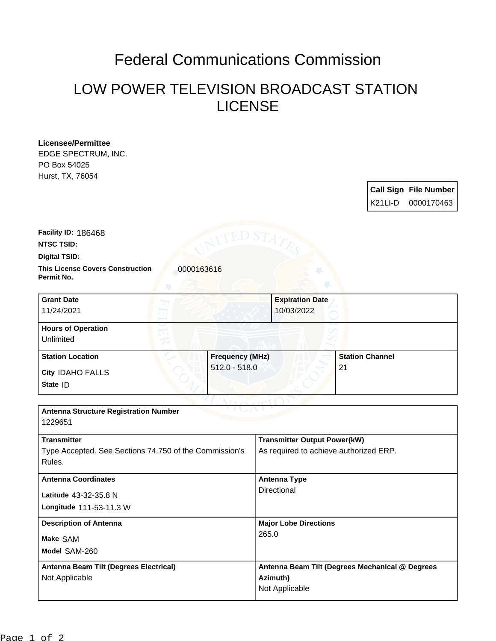## Federal Communications Commission

## LOW POWER TELEVISION BROADCAST STATION LICENSE

| <b>Licensee/Permittee</b>                                        |                        |                 |                                        |                                                 |    |                        |                              |  |
|------------------------------------------------------------------|------------------------|-----------------|----------------------------------------|-------------------------------------------------|----|------------------------|------------------------------|--|
| EDGE SPECTRUM, INC.                                              |                        |                 |                                        |                                                 |    |                        |                              |  |
| PO Box 54025                                                     |                        |                 |                                        |                                                 |    |                        |                              |  |
| Hurst, TX, 76054                                                 |                        |                 |                                        |                                                 |    |                        |                              |  |
|                                                                  |                        |                 |                                        |                                                 |    |                        | <b>Call Sign File Number</b> |  |
|                                                                  |                        |                 |                                        |                                                 |    | K21LI-D                | 0000170463                   |  |
| <b>Facility ID: 186468</b>                                       |                        | ED STA          |                                        |                                                 |    |                        |                              |  |
| <b>NTSC TSID:</b>                                                |                        |                 |                                        |                                                 |    |                        |                              |  |
| <b>Digital TSID:</b>                                             |                        |                 |                                        |                                                 |    |                        |                              |  |
| <b>This License Covers Construction</b><br>Permit No.            | 0000163616             |                 |                                        |                                                 |    |                        |                              |  |
| <b>Grant Date</b>                                                |                        |                 |                                        | <b>Expiration Date</b>                          |    |                        |                              |  |
| 11/24/2021                                                       |                        |                 |                                        | 10/03/2022                                      |    |                        |                              |  |
| <b>Hours of Operation</b>                                        |                        |                 |                                        |                                                 |    |                        |                              |  |
| Unlimited                                                        |                        |                 |                                        |                                                 |    |                        |                              |  |
| <b>Station Location</b>                                          | <b>Frequency (MHz)</b> |                 |                                        |                                                 |    | <b>Station Channel</b> |                              |  |
| City IDAHO FALLS                                                 |                        | $512.0 - 518.0$ |                                        |                                                 | 21 |                        |                              |  |
| State ID                                                         |                        |                 |                                        |                                                 |    |                        |                              |  |
|                                                                  |                        |                 |                                        |                                                 |    |                        |                              |  |
| <b>Antenna Structure Registration Number</b><br>1229651          |                        |                 |                                        |                                                 |    |                        |                              |  |
| <b>Transmitter</b>                                               |                        |                 |                                        | <b>Transmitter Output Power(kW)</b>             |    |                        |                              |  |
| Type Accepted. See Sections 74.750 of the Commission's<br>Rules. |                        |                 | As required to achieve authorized ERP. |                                                 |    |                        |                              |  |
| <b>Antenna Coordinates</b>                                       |                        |                 | <b>Antenna Type</b>                    |                                                 |    |                        |                              |  |
| Latitude 43-32-35.8 N                                            |                        |                 | Directional                            |                                                 |    |                        |                              |  |
| Longitude 111-53-11.3 W                                          |                        |                 |                                        |                                                 |    |                        |                              |  |
|                                                                  |                        |                 |                                        |                                                 |    |                        |                              |  |
| <b>Description of Antenna</b>                                    |                        |                 | <b>Major Lobe Directions</b><br>265.0  |                                                 |    |                        |                              |  |
| Make SAM                                                         |                        |                 |                                        |                                                 |    |                        |                              |  |
| Model SAM-260                                                    |                        |                 |                                        |                                                 |    |                        |                              |  |
| Antenna Beam Tilt (Degrees Electrical)                           |                        |                 |                                        | Antenna Beam Tilt (Degrees Mechanical @ Degrees |    |                        |                              |  |
| Not Applicable                                                   |                        |                 | Azimuth)                               |                                                 |    |                        |                              |  |
|                                                                  |                        |                 |                                        | Not Applicable                                  |    |                        |                              |  |